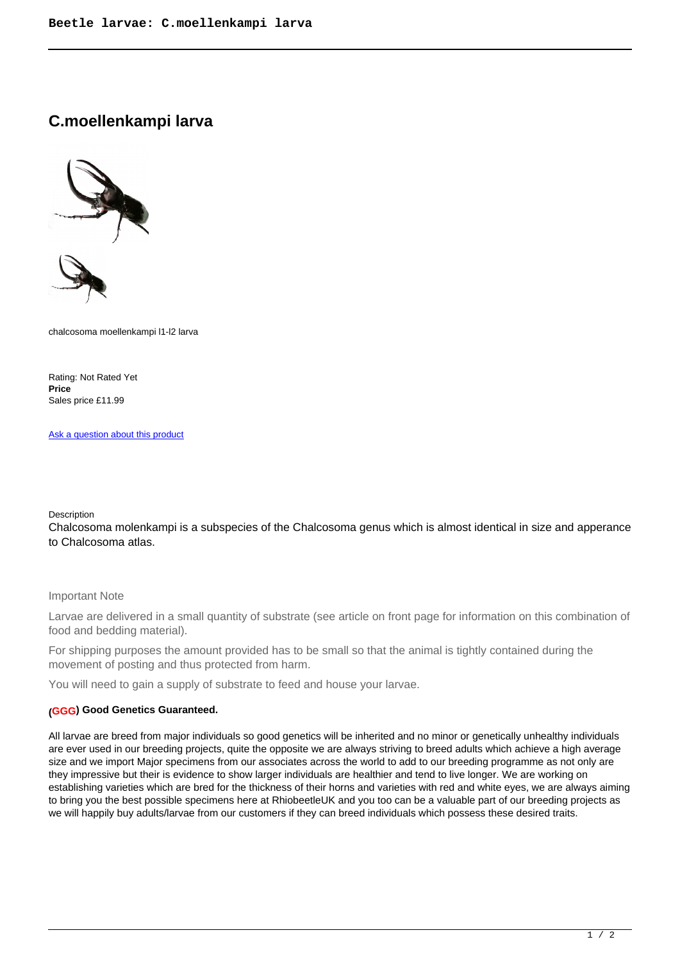# **C.moellenkampi larva**



chalcosoma moellenkampi l1-l2 larva

Rating: Not Rated Yet **Price**  Sales price £11.99

[Ask a question about this product](https://rhinobeetle.co.uk/index.php?option=com_virtuemart&view=productdetails&task=askquestion&virtuemart_product_id=268&virtuemart_category_id=15&tmpl=component)

#### Description

Chalcosoma molenkampi is a subspecies of the Chalcosoma genus which is almost identical in size and apperance to Chalcosoma atlas.

## Important Note

Larvae are delivered in a small quantity of substrate (see article on front page for information on this combination of food and bedding material).

For shipping purposes the amount provided has to be small so that the animal is tightly contained during the movement of posting and thus protected from harm.

You will need to gain a supply of substrate to feed and house your larvae.

## **(GGG) Good Genetics Guaranteed.**

All larvae are breed from major individuals so good genetics will be inherited and no minor or genetically unhealthy individuals are ever used in our breeding projects, quite the opposite we are always striving to breed adults which achieve a high average size and we import Major specimens from our associates across the world to add to our breeding programme as not only are they impressive but their is evidence to show larger individuals are healthier and tend to live longer. We are working on establishing varieties which are bred for the thickness of their horns and varieties with red and white eyes, we are always aiming to bring you the best possible specimens here at RhiobeetleUK and you too can be a valuable part of our breeding projects as we will happily buy adults/larvae from our customers if they can breed individuals which possess these desired traits.